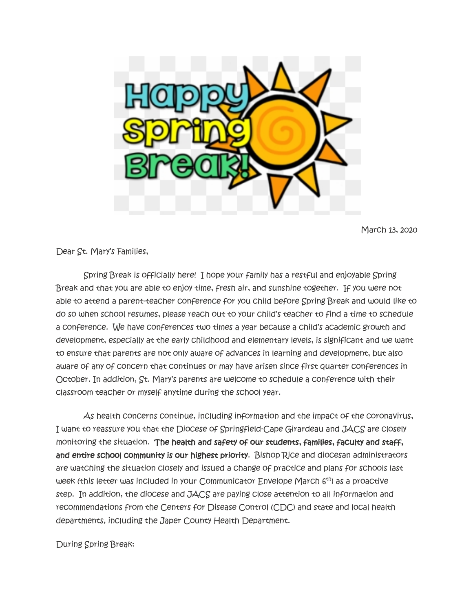

March 13, 2020

Dear St. Mary's Families,

 Spring Break is officially here! I hope your family has a restful and enjoyable Spring Break and that you are able to enjoy time, fresh air, and sunshine together. If you were not able to attend a parent-teacher conference for you child before Spring Break and would like to do so when school resumes, please reach out to your child's teacher to find a time to schedule a conference. We have conferences two times a year because a child's academic growth and development, especially at the early childhood and elementary levels, is significant and we want to ensure that parents are not only aware of advances in learning and development, but also aware of any of concern that continues or may have arisen since first quarter conferences in October. In addition, St. Mary's parents are welcome to schedule a conference with their classroom teacher or myself anytime during the school year.

 As health concerns continue, including information and the impact of the coronavirus, I want to reassure you that the Diocese of Springfield-Cape Girardeau and JACS are closely monitoring the situation. The health and safety of our students, families, faculty and staff, and entire school community is our highest priority. Bishop Rice and diocesan administrators are watching the situation closely and issued a change of practice and plans for schools last week (this letter was included in your Communicator Envelope March 6<sup>th</sup>) as a proactive step. In addition, the diocese and JACS are paying close attention to all information and recommendations from the Centers for Disease Control (CDC) and state and local health departments, including the Japer County Health Department.

During Spring Break: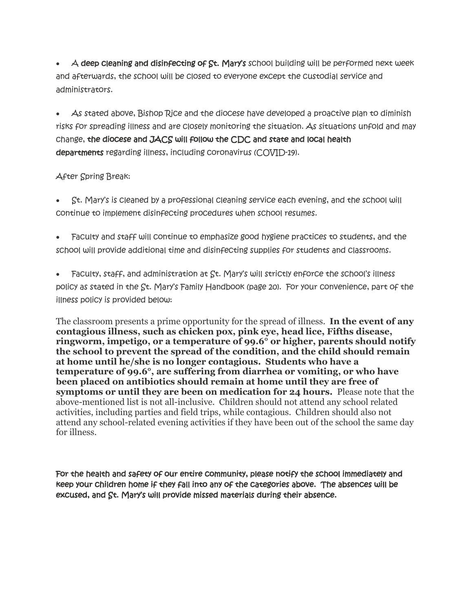• A deep cleaning and disinfecting of St. Mary's school building will be performed next week and afterwards, the school will be closed to everyone except the custodial service and administrators.

• As stated above, Bishop Rice and the diocese have developed a proactive plan to diminish risks for spreading illness and are closely monitoring the situation. As situations unfold and may change, the diocese and JACS will follow the CDC and state and local health departments regarding illness, including coronavirus (COVID-19).

## After Spring Break:

• St. Mary's is cleaned by a professional cleaning service each evening, and the school will continue to implement disinfecting procedures when school resumes.

• Faculty and staff will continue to emphasize good hygiene practices to students, and the school will provide additional time and disinfecting supplies for students and classrooms.

• Faculty, staff, and administration at St. Mary's will strictly enforce the school's illness policy as stated in the St. Mary's Family Handbook (page 20). For your convenience, part of the illness policy is provided below:

The classroom presents a prime opportunity for the spread of illness. **In the event of any contagious illness, such as chicken pox, pink eye, head lice, Fifths disease, ringworm, impetigo, or a temperature of 99.6° or higher, parents should notify the school to prevent the spread of the condition, and the child should remain at home until he/she is no longer contagious. Students who have a temperature of 99.6°, are suffering from diarrhea or vomiting, or who have been placed on antibiotics should remain at home until they are free of symptoms or until they are been on medication for 24 hours.** Please note that the above-mentioned list is not all-inclusive. Children should not attend any school related activities, including parties and field trips, while contagious. Children should also not attend any school-related evening activities if they have been out of the school the same day for illness.

For the health and safety of our entire community, please notify the school immediately and keep your children home if they fall into any of the categories above. The absences will be excused, and St. Mary's will provide missed materials during their absence.